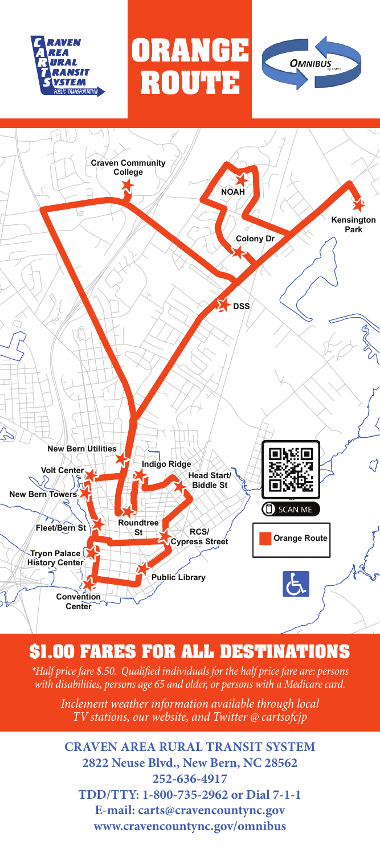





## **\$1.00 FARES FOR ALL DESTINATIONS**

*\*Half price fare \$.50. Qualified individuals for the half price fare are: persons with disabilities, persons age 65 and older, or persons with a Medicare card.*

*Inclement weather information available through local TV stations, our website, and Twitter @ cartsofcjp*

**CRAVEN AREA RURAL TRANSIT SYSTEM 2822 Neuse Blvd., New Bern, NC 28562 252-636-4917 TDD/TTY: 1-800-735-2962 or Dial 7-1-1 E-mail: carts@cravencountync.gov www.cravencountync.gov/omnibus**